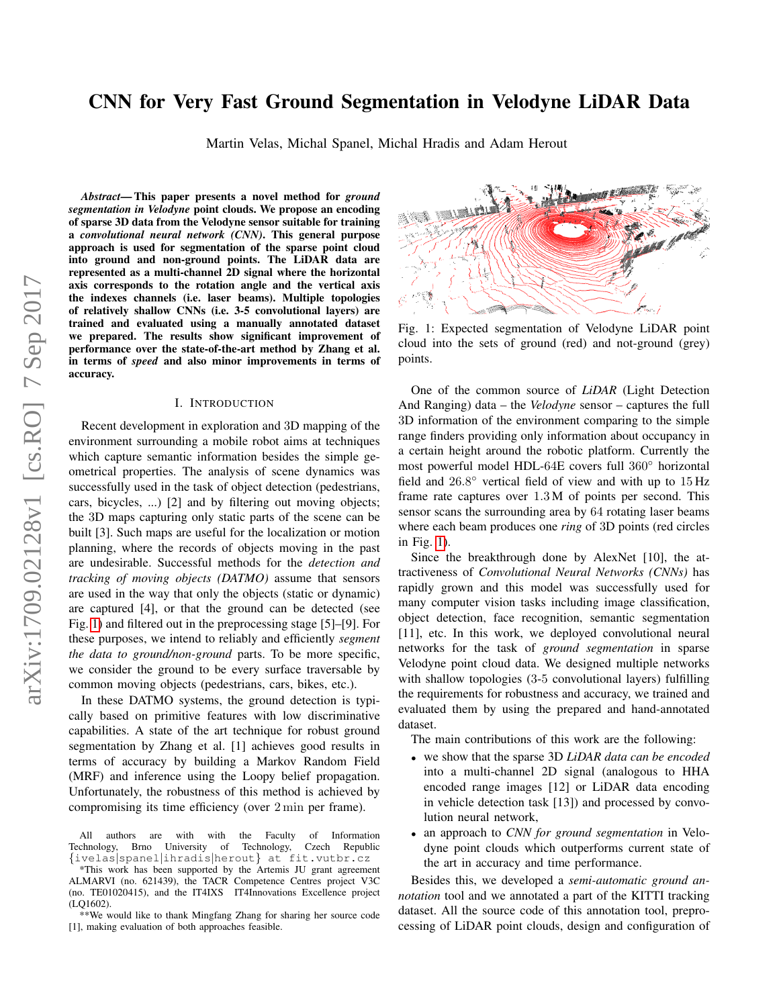# CNN for Very Fast Ground Segmentation in Velodyne LiDAR Data

Martin Velas, Michal Spanel, Michal Hradis and Adam Herout

*Abstract*— This paper presents a novel method for *ground segmentation in Velodyne* point clouds. We propose an encoding of sparse 3D data from the Velodyne sensor suitable for training a *convolutional neural network (CNN)*. This general purpose approach is used for segmentation of the sparse point cloud into ground and non-ground points. The LiDAR data are represented as a multi-channel 2D signal where the horizontal axis corresponds to the rotation angle and the vertical axis the indexes channels (i.e. laser beams). Multiple topologies of relatively shallow CNNs (i.e. 3-5 convolutional layers) are trained and evaluated using a manually annotated dataset we prepared. The results show significant improvement of performance over the state-of-the-art method by Zhang et al. in terms of *speed* and also minor improvements in terms of accuracy.

#### I. INTRODUCTION

Recent development in exploration and 3D mapping of the environment surrounding a mobile robot aims at techniques which capture semantic information besides the simple geometrical properties. The analysis of scene dynamics was successfully used in the task of object detection (pedestrians, cars, bicycles, ...) [2] and by filtering out moving objects; the 3D maps capturing only static parts of the scene can be built [3]. Such maps are useful for the localization or motion planning, where the records of objects moving in the past are undesirable. Successful methods for the *detection and tracking of moving objects (DATMO)* assume that sensors are used in the way that only the objects (static or dynamic) are captured [4], or that the ground can be detected (see Fig. [1\)](#page-0-0) and filtered out in the preprocessing stage [5]–[9]. For these purposes, we intend to reliably and efficiently *segment the data to ground/non-ground* parts. To be more specific, we consider the ground to be every surface traversable by common moving objects (pedestrians, cars, bikes, etc.).

In these DATMO systems, the ground detection is typically based on primitive features with low discriminative capabilities. A state of the art technique for robust ground segmentation by Zhang et al. [1] achieves good results in terms of accuracy by building a Markov Random Field (MRF) and inference using the Loopy belief propagation. Unfortunately, the robustness of this method is achieved by compromising its time efficiency (over 2 min per frame).

<span id="page-0-0"></span>

Fig. 1: Expected segmentation of Velodyne LiDAR point cloud into the sets of ground (red) and not-ground (grey) points.

One of the common source of *LiDAR* (Light Detection And Ranging) data – the *Velodyne* sensor – captures the full 3D information of the environment comparing to the simple range finders providing only information about occupancy in a certain height around the robotic platform. Currently the most powerful model HDL-64E covers full 360◦ horizontal field and  $26.8^{\circ}$  vertical field of view and with up to  $15 \text{ Hz}$ frame rate captures over 1.3 M of points per second. This sensor scans the surrounding area by 64 rotating laser beams where each beam produces one *ring* of 3D points (red circles in Fig. [1\)](#page-0-0).

Since the breakthrough done by AlexNet [10], the attractiveness of *Convolutional Neural Networks (CNNs)* has rapidly grown and this model was successfully used for many computer vision tasks including image classification, object detection, face recognition, semantic segmentation [11], etc. In this work, we deployed convolutional neural networks for the task of *ground segmentation* in sparse Velodyne point cloud data. We designed multiple networks with shallow topologies (3-5 convolutional layers) fulfilling the requirements for robustness and accuracy, we trained and evaluated them by using the prepared and hand-annotated dataset.

The main contributions of this work are the following:

- we show that the sparse 3D *LiDAR data can be encoded* into a multi-channel 2D signal (analogous to HHA encoded range images [12] or LiDAR data encoding in vehicle detection task [13]) and processed by convolution neural network,
- an approach to *CNN for ground segmentation* in Velodyne point clouds which outperforms current state of the art in accuracy and time performance.

Besides this, we developed a *semi-automatic ground annotation* tool and we annotated a part of the KITTI tracking dataset. All the source code of this annotation tool, preprocessing of LiDAR point clouds, design and configuration of

All authors are with with the Faculty of Information Technology, Brno University of Technology, Czech Republic {ivelas|spanel|ihradis|herout} at fit.vutbr.cz

<sup>\*</sup>This work has been supported by the Artemis JU grant agreement ALMARVI (no. 621439), the TACR Competence Centres project V3C (no. TE01020415), and the IT4IXS IT4Innovations Excellence project (LQ1602).

<sup>\*\*</sup>We would like to thank Mingfang Zhang for sharing her source code [1], making evaluation of both approaches feasible.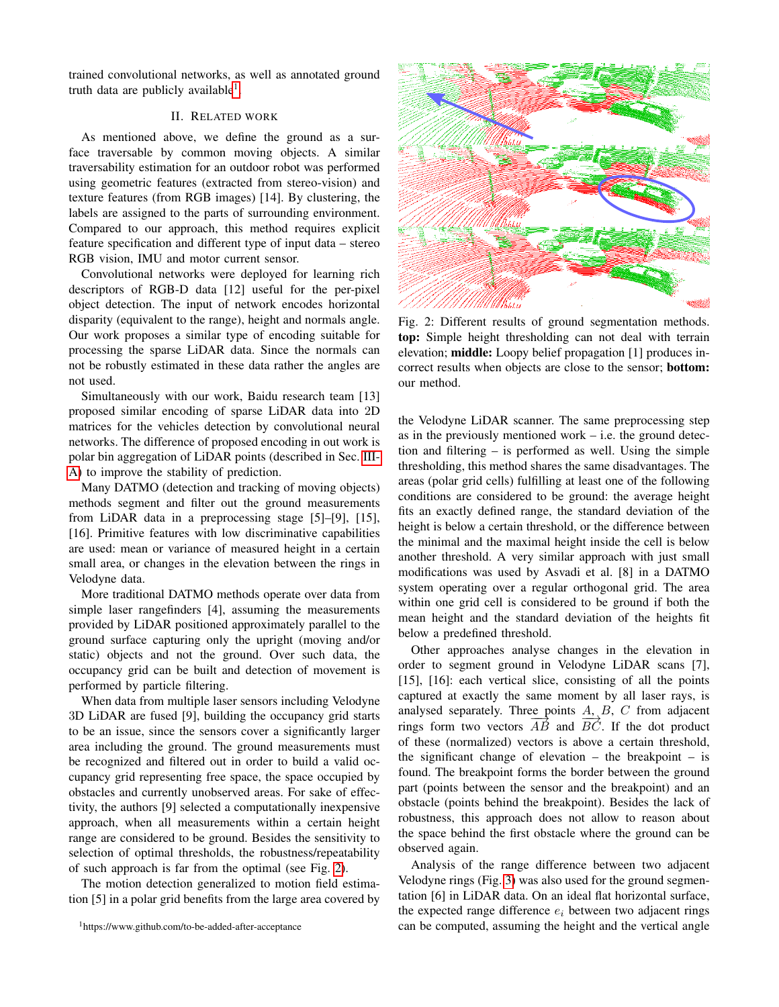trained convolutional networks, as well as annotated ground truth data are publicly available<sup>[1](#page-1-0)</sup>.

# II. RELATED WORK

As mentioned above, we define the ground as a surface traversable by common moving objects. A similar traversability estimation for an outdoor robot was performed using geometric features (extracted from stereo-vision) and texture features (from RGB images) [14]. By clustering, the labels are assigned to the parts of surrounding environment. Compared to our approach, this method requires explicit feature specification and different type of input data – stereo RGB vision, IMU and motor current sensor.

Convolutional networks were deployed for learning rich descriptors of RGB-D data [12] useful for the per-pixel object detection. The input of network encodes horizontal disparity (equivalent to the range), height and normals angle. Our work proposes a similar type of encoding suitable for processing the sparse LiDAR data. Since the normals can not be robustly estimated in these data rather the angles are not used.

Simultaneously with our work, Baidu research team [13] proposed similar encoding of sparse LiDAR data into 2D matrices for the vehicles detection by convolutional neural networks. The difference of proposed encoding in out work is polar bin aggregation of LiDAR points (described in Sec. [III-](#page-2-0)[A\)](#page-2-0) to improve the stability of prediction.

Many DATMO (detection and tracking of moving objects) methods segment and filter out the ground measurements from LiDAR data in a preprocessing stage [5]–[9], [15], [16]. Primitive features with low discriminative capabilities are used: mean or variance of measured height in a certain small area, or changes in the elevation between the rings in Velodyne data.

More traditional DATMO methods operate over data from simple laser rangefinders [4], assuming the measurements provided by LiDAR positioned approximately parallel to the ground surface capturing only the upright (moving and/or static) objects and not the ground. Over such data, the occupancy grid can be built and detection of movement is performed by particle filtering.

When data from multiple laser sensors including Velodyne 3D LiDAR are fused [9], building the occupancy grid starts to be an issue, since the sensors cover a significantly larger area including the ground. The ground measurements must be recognized and filtered out in order to build a valid occupancy grid representing free space, the space occupied by obstacles and currently unobserved areas. For sake of effectivity, the authors [9] selected a computationally inexpensive approach, when all measurements within a certain height range are considered to be ground. Besides the sensitivity to selection of optimal thresholds, the robustness/repeatability of such approach is far from the optimal (see Fig. [2\)](#page-1-1).

The motion detection generalized to motion field estimation [5] in a polar grid benefits from the large area covered by

<span id="page-1-1"></span>

Fig. 2: Different results of ground segmentation methods. top: Simple height thresholding can not deal with terrain elevation; middle: Loopy belief propagation [1] produces incorrect results when objects are close to the sensor; bottom: our method.

the Velodyne LiDAR scanner. The same preprocessing step as in the previously mentioned work  $-$  i.e. the ground detection and filtering – is performed as well. Using the simple thresholding, this method shares the same disadvantages. The areas (polar grid cells) fulfilling at least one of the following conditions are considered to be ground: the average height fits an exactly defined range, the standard deviation of the height is below a certain threshold, or the difference between the minimal and the maximal height inside the cell is below another threshold. A very similar approach with just small modifications was used by Asvadi et al. [8] in a DATMO system operating over a regular orthogonal grid. The area within one grid cell is considered to be ground if both the mean height and the standard deviation of the heights fit below a predefined threshold.

Other approaches analyse changes in the elevation in order to segment ground in Velodyne LiDAR scans [7], [15], [16]: each vertical slice, consisting of all the points captured at exactly the same moment by all laser rays, is analysed separately. Three points  $A, B, C$  from adjacent the sum of two vectors  $\overrightarrow{AB}$  and  $\overrightarrow{BC}$ . If the dot product of these (normalized) vectors is above a certain threshold, the significant change of elevation  $-$  the breakpoint  $-$  is found. The breakpoint forms the border between the ground part (points between the sensor and the breakpoint) and an obstacle (points behind the breakpoint). Besides the lack of robustness, this approach does not allow to reason about the space behind the first obstacle where the ground can be observed again.

Analysis of the range difference between two adjacent Velodyne rings (Fig. [3\)](#page-2-1) was also used for the ground segmentation [6] in LiDAR data. On an ideal flat horizontal surface, the expected range difference  $e_i$  between two adjacent rings can be computed, assuming the height and the vertical angle

<span id="page-1-0"></span><sup>1</sup>https://www.github.com/to-be-added-after-acceptance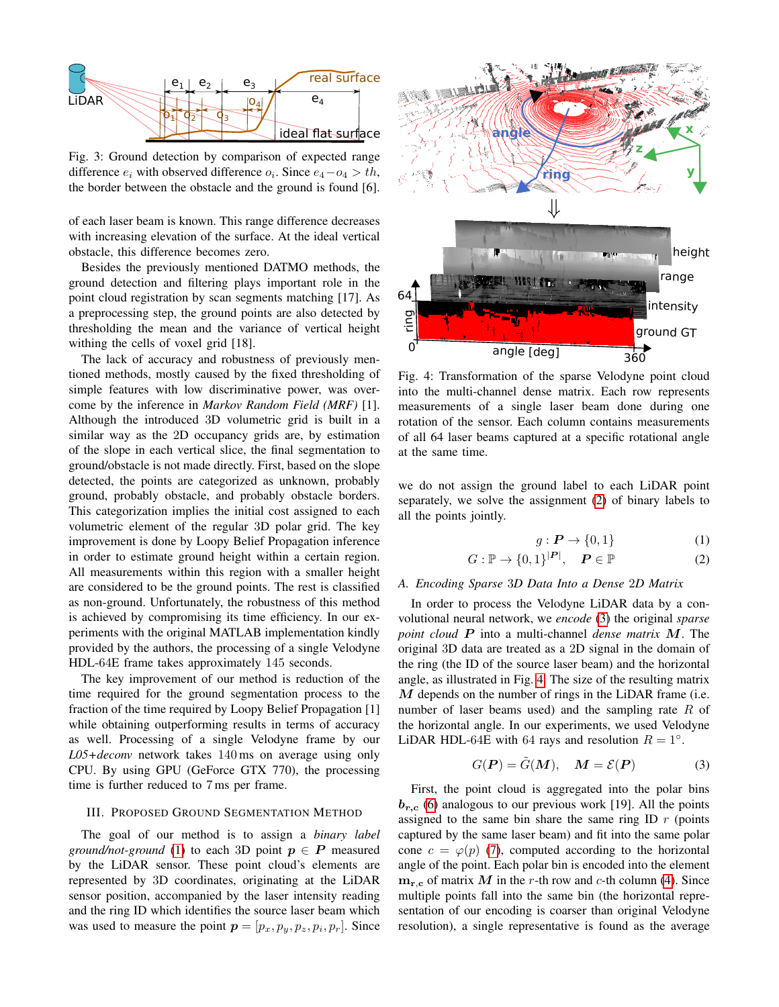<span id="page-2-1"></span>

Fig. 3: Ground detection by comparison of expected range difference  $e_i$  with observed difference  $o_i$ . Since  $e_4 - o_4 > th$ , the border between the obstacle and the ground is found [6].

of each laser beam is known. This range difference decreases with increasing elevation of the surface. At the ideal vertical obstacle, this difference becomes zero.

Besides the previously mentioned DATMO methods, the ground detection and filtering plays important role in the point cloud registration by scan segments matching [17]. As a preprocessing step, the ground points are also detected by thresholding the mean and the variance of vertical height withing the cells of voxel grid [18].

The lack of accuracy and robustness of previously mentioned methods, mostly caused by the fixed thresholding of simple features with low discriminative power, was overcome by the inference in *Markov Random Field (MRF)* [1]. Although the introduced 3D volumetric grid is built in a similar way as the 2D occupancy grids are, by estimation of the slope in each vertical slice, the final segmentation to ground/obstacle is not made directly. First, based on the slope detected, the points are categorized as unknown, probably ground, probably obstacle, and probably obstacle borders. This categorization implies the initial cost assigned to each volumetric element of the regular 3D polar grid. The key improvement is done by Loopy Belief Propagation inference in order to estimate ground height within a certain region. All measurements within this region with a smaller height are considered to be the ground points. The rest is classified as non-ground. Unfortunately, the robustness of this method is achieved by compromising its time efficiency. In our experiments with the original MATLAB implementation kindly provided by the authors, the processing of a single Velodyne HDL-64E frame takes approximately 145 seconds.

The key improvement of our method is reduction of the time required for the ground segmentation process to the fraction of the time required by Loopy Belief Propagation [1] while obtaining outperforming results in terms of accuracy as well. Processing of a single Velodyne frame by our *L05+deconv* network takes 140 ms on average using only CPU. By using GPU (GeForce GTX 770), the processing time is further reduced to 7 ms per frame.

# III. PROPOSED GROUND SEGMENTATION METHOD

The goal of our method is to assign a *binary label ground/not-ground* [\(1\)](#page-2-2) to each 3D point  $p \in P$  measured by the LiDAR sensor. These point cloud's elements are represented by 3D coordinates, originating at the LiDAR sensor position, accompanied by the laser intensity reading and the ring ID which identifies the source laser beam which was used to measure the point  $p = [p_x, p_y, p_z, p_i, p_r]$ . Since

<span id="page-2-4"></span>

Fig. 4: Transformation of the sparse Velodyne point cloud into the multi-channel dense matrix. Each row represents measurements of a single laser beam done during one rotation of the sensor. Each column contains measurements of all 64 laser beams captured at a specific rotational angle at the same time.

we do not assign the ground label to each LiDAR point separately, we solve the assignment [\(2\)](#page-2-2) of binary labels to all the points jointly.

<span id="page-2-2"></span>
$$
g: \mathbf{P} \to \{0, 1\} \tag{1}
$$

$$
G: \mathbb{P} \to \{0,1\}^{|P|}, \quad P \in \mathbb{P} \tag{2}
$$

# <span id="page-2-0"></span>*A. Encoding Sparse* 3*D Data Into a Dense* 2*D Matrix*

In order to process the Velodyne LiDAR data by a convolutional neural network, we *encode* [\(3\)](#page-2-3) the original *sparse point cloud* P into a multi-channel *dense matrix* M. The original 3D data are treated as a 2D signal in the domain of the ring (the ID of the source laser beam) and the horizontal angle, as illustrated in Fig. [4.](#page-2-4) The size of the resulting matrix  $M$  depends on the number of rings in the LiDAR frame (i.e. number of laser beams used) and the sampling rate  $R$  of the horizontal angle. In our experiments, we used Velodyne LiDAR HDL-64E with 64 rays and resolution  $R = 1^\circ$ .

<span id="page-2-3"></span>
$$
G(P) = \tilde{G}(M), \quad M = \mathcal{E}(P) \tag{3}
$$

First, the point cloud is aggregated into the polar bins  $b_{r,c}$  [\(6\)](#page-3-0) analogous to our previous work [19]. All the points assigned to the same bin share the same ring ID  $r$  (points captured by the same laser beam) and fit into the same polar cone  $c = \varphi(p)$  [\(7\)](#page-3-1), computed according to the horizontal angle of the point. Each polar bin is encoded into the element  $m_{r,c}$  of matrix M in the r-th row and c-th column [\(4\)](#page-3-2). Since multiple points fall into the same bin (the horizontal representation of our encoding is coarser than original Velodyne resolution), a single representative is found as the average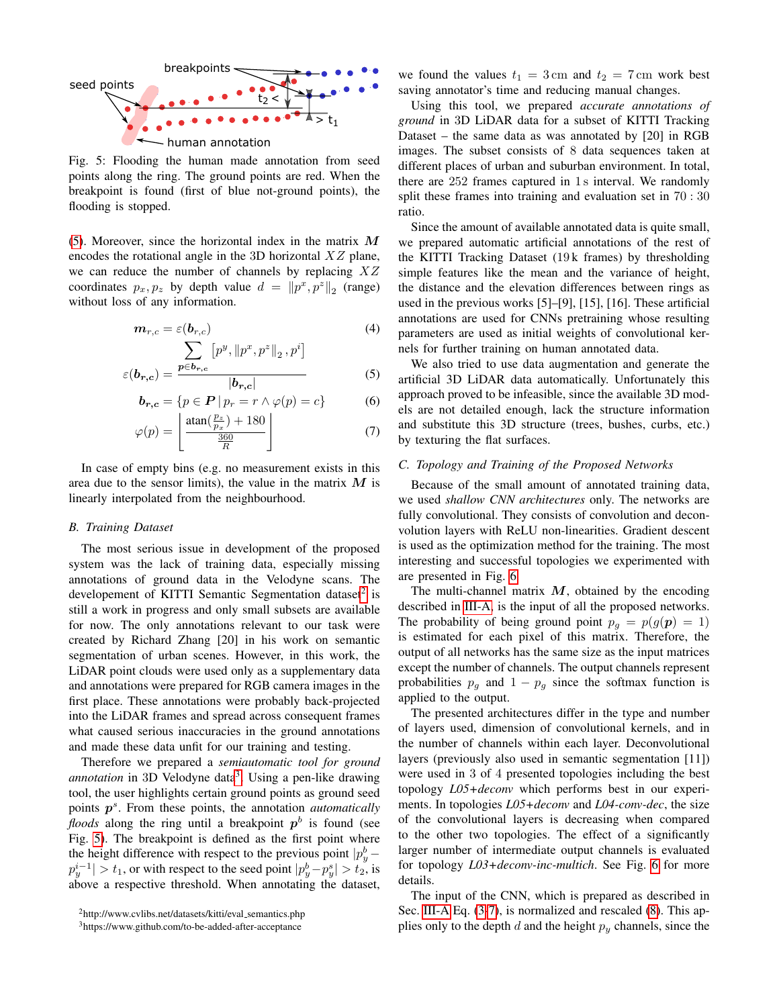<span id="page-3-6"></span>

Fig. 5: Flooding the human made annotation from seed points along the ring. The ground points are red. When the breakpoint is found (first of blue not-ground points), the flooding is stopped.

[\(5\)](#page-3-3). Moreover, since the horizontal index in the matrix M encodes the rotational angle in the 3D horizontal  $XZ$  plane, we can reduce the number of channels by replacing XZ coordinates  $p_x, p_z$  by depth value  $d = ||p^x, p^z||_2$  (range) without loss of any information.

$$
\boldsymbol{m}_{r,c} = \varepsilon(\boldsymbol{b}_{r,c})
$$
\n
$$
\sum \left[ p^y, \left\| p^x, p^z \right\|_2, p^i \right]
$$
\n(4)

ε(br,c) = p∈br,c |br,c| (5)

$$
\mathbf{b}_{r,c} = \{ p \in \mathbf{P} \mid p_r = r \wedge \varphi(p) = c \} \tag{6}
$$

$$
\varphi(p) = \left\lfloor \frac{\operatorname{atan}(\frac{p_z}{p_x}) + 180}{\frac{360}{R}} \right\rfloor \tag{7}
$$

In case of empty bins (e.g. no measurement exists in this area due to the sensor limits), the value in the matrix  $M$  is linearly interpolated from the neighbourhood.

#### *B. Training Dataset*

The most serious issue in development of the proposed system was the lack of training data, especially missing annotations of ground data in the Velodyne scans. The developement of KITTI Semantic Segmentation dataset<sup>[2](#page-3-4)</sup> is still a work in progress and only small subsets are available for now. The only annotations relevant to our task were created by Richard Zhang [20] in his work on semantic segmentation of urban scenes. However, in this work, the LiDAR point clouds were used only as a supplementary data and annotations were prepared for RGB camera images in the first place. These annotations were probably back-projected into the LiDAR frames and spread across consequent frames what caused serious inaccuracies in the ground annotations and made these data unfit for our training and testing.

Therefore we prepared a *semiautomatic tool for ground* annotation in [3](#page-3-5)D Velodyne data<sup>3</sup>. Using a pen-like drawing tool, the user highlights certain ground points as ground seed points  $p<sup>s</sup>$ . From these points, the annotation *automatically floods* along the ring until a breakpoint  $p<sup>b</sup>$  is found (see Fig. [5\)](#page-3-6). The breakpoint is defined as the first point where the height difference with respect to the previous point  $|p_y^b |p_y^{i-1}| > t_1$ , or with respect to the seed point  $|p_y^b - p_y^s| > t_2$ , is above a respective threshold. When annotating the dataset,

we found the values  $t_1 = 3$  cm and  $t_2 = 7$  cm work best saving annotator's time and reducing manual changes.

Using this tool, we prepared *accurate annotations of ground* in 3D LiDAR data for a subset of KITTI Tracking Dataset – the same data as was annotated by [20] in RGB images. The subset consists of 8 data sequences taken at different places of urban and suburban environment. In total, there are 252 frames captured in 1 s interval. We randomly split these frames into training and evaluation set in 70 : 30 ratio.

Since the amount of available annotated data is quite small, we prepared automatic artificial annotations of the rest of the KITTI Tracking Dataset (19 k frames) by thresholding simple features like the mean and the variance of height, the distance and the elevation differences between rings as used in the previous works [5]–[9], [15], [16]. These artificial annotations are used for CNNs pretraining whose resulting parameters are used as initial weights of convolutional kernels for further training on human annotated data.

<span id="page-3-3"></span><span id="page-3-2"></span><span id="page-3-0"></span>We also tried to use data augmentation and generate the artificial 3D LiDAR data automatically. Unfortunately this approach proved to be infeasible, since the available 3D models are not detailed enough, lack the structure information and substitute this 3D structure (trees, bushes, curbs, etc.) by texturing the flat surfaces.

# <span id="page-3-1"></span>*C. Topology and Training of the Proposed Networks*

Because of the small amount of annotated training data, we used *shallow CNN architectures* only. The networks are fully convolutional. They consists of convolution and deconvolution layers with ReLU non-linearities. Gradient descent is used as the optimization method for the training. The most interesting and successful topologies we experimented with are presented in Fig. [6.](#page-4-0)

The multi-channel matrix  $M$ , obtained by the encoding described in [III-A,](#page-2-0) is the input of all the proposed networks. The probability of being ground point  $p_q = p(g(\mathbf{p}) = 1)$ is estimated for each pixel of this matrix. Therefore, the output of all networks has the same size as the input matrices except the number of channels. The output channels represent probabilities  $p_g$  and  $1 - p_g$  since the softmax function is applied to the output.

The presented architectures differ in the type and number of layers used, dimension of convolutional kernels, and in the number of channels within each layer. Deconvolutional layers (previously also used in semantic segmentation [11]) were used in 3 of 4 presented topologies including the best topology *L05+deconv* which performs best in our experiments. In topologies *L05+deconv* and *L04-conv-dec*, the size of the convolutional layers is decreasing when compared to the other two topologies. The effect of a significantly larger number of intermediate output channels is evaluated for topology *L03+deconv-inc-multich*. See Fig. [6](#page-4-0) for more details.

The input of the CNN, which is prepared as described in Sec. [III-A](#page-2-0) Eq.  $(3-7)$  $(3-7)$ , is normalized and rescaled  $(8)$ . This applies only to the depth  $d$  and the height  $p_y$  channels, since the

<span id="page-3-4"></span><sup>2</sup>http://www.cvlibs.net/datasets/kitti/eval semantics.php

<span id="page-3-5"></span><sup>3</sup>https://www.github.com/to-be-added-after-acceptance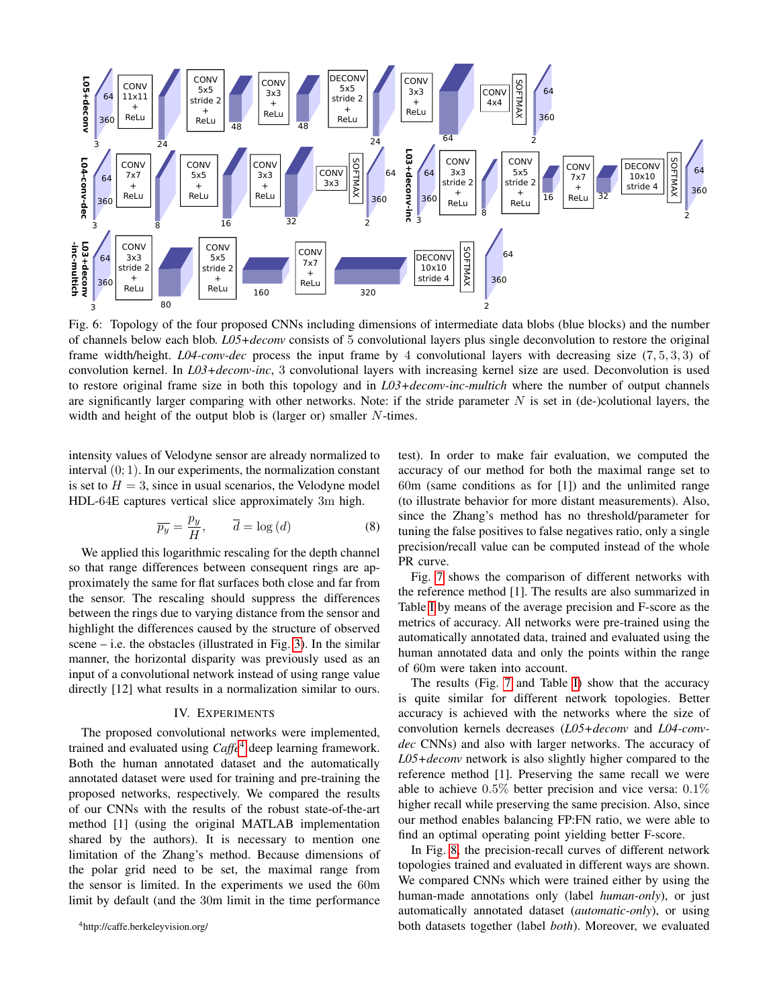<span id="page-4-0"></span>

Fig. 6: Topology of the four proposed CNNs including dimensions of intermediate data blobs (blue blocks) and the number of channels below each blob. *L05+deconv* consists of 5 convolutional layers plus single deconvolution to restore the original frame width/height. *L04-conv-dec* process the input frame by 4 convolutional layers with decreasing size (7, 5, 3, 3) of convolution kernel. In *L03+deconv-inc*, 3 convolutional layers with increasing kernel size are used. Deconvolution is used to restore original frame size in both this topology and in *L03+deconv-inc-multich* where the number of output channels are significantly larger comparing with other networks. Note: if the stride parameter  $N$  is set in (de-)colutional layers, the width and height of the output blob is (larger or) smaller N-times.

intensity values of Velodyne sensor are already normalized to interval (0; 1). In our experiments, the normalization constant is set to  $H = 3$ , since in usual scenarios, the Velodyne model HDL-64E captures vertical slice approximately 3m high.

<span id="page-4-1"></span>
$$
\overline{p_y} = \frac{p_y}{H}, \qquad \overline{d} = \log\left(d\right) \tag{8}
$$

We applied this logarithmic rescaling for the depth channel so that range differences between consequent rings are approximately the same for flat surfaces both close and far from the sensor. The rescaling should suppress the differences between the rings due to varying distance from the sensor and highlight the differences caused by the structure of observed scene – i.e. the obstacles (illustrated in Fig. [3\)](#page-2-1). In the similar manner, the horizontal disparity was previously used as an input of a convolutional network instead of using range value directly [12] what results in a normalization similar to ours.

# IV. EXPERIMENTS

<span id="page-4-2"></span>The proposed convolutional networks were implemented, trained and evaluated using *Caffe*[4](#page-4-2) deep learning framework. Both the human annotated dataset and the automatically annotated dataset were used for training and pre-training the proposed networks, respectively. We compared the results of our CNNs with the results of the robust state-of-the-art method [1] (using the original MATLAB implementation shared by the authors). It is necessary to mention one limitation of the Zhang's method. Because dimensions of the polar grid need to be set, the maximal range from the sensor is limited. In the experiments we used the 60m limit by default (and the 30m limit in the time performance

test). In order to make fair evaluation, we computed the accuracy of our method for both the maximal range set to 60m (same conditions as for [1]) and the unlimited range (to illustrate behavior for more distant measurements). Also, since the Zhang's method has no threshold/parameter for tuning the false positives to false negatives ratio, only a single precision/recall value can be computed instead of the whole PR curve.

Fig. [7](#page-5-0) shows the comparison of different networks with the reference method [1]. The results are also summarized in Table [I](#page-5-1) by means of the average precision and F-score as the metrics of accuracy. All networks were pre-trained using the automatically annotated data, trained and evaluated using the human annotated data and only the points within the range of 60m were taken into account.

The results (Fig. [7](#page-5-0) and Table [I\)](#page-5-1) show that the accuracy is quite similar for different network topologies. Better accuracy is achieved with the networks where the size of convolution kernels decreases (*L05+deconv* and *L04-convdec* CNNs) and also with larger networks. The accuracy of *L05+deconv* network is also slightly higher compared to the reference method [1]. Preserving the same recall we were able to achieve 0.5% better precision and vice versa: 0.1% higher recall while preserving the same precision. Also, since our method enables balancing FP:FN ratio, we were able to find an optimal operating point yielding better F-score.

In Fig. [8,](#page-6-0) the precision-recall curves of different network topologies trained and evaluated in different ways are shown. We compared CNNs which were trained either by using the human-made annotations only (label *human-only*), or just automatically annotated dataset (*automatic-only*), or using both datasets together (label *both*). Moreover, we evaluated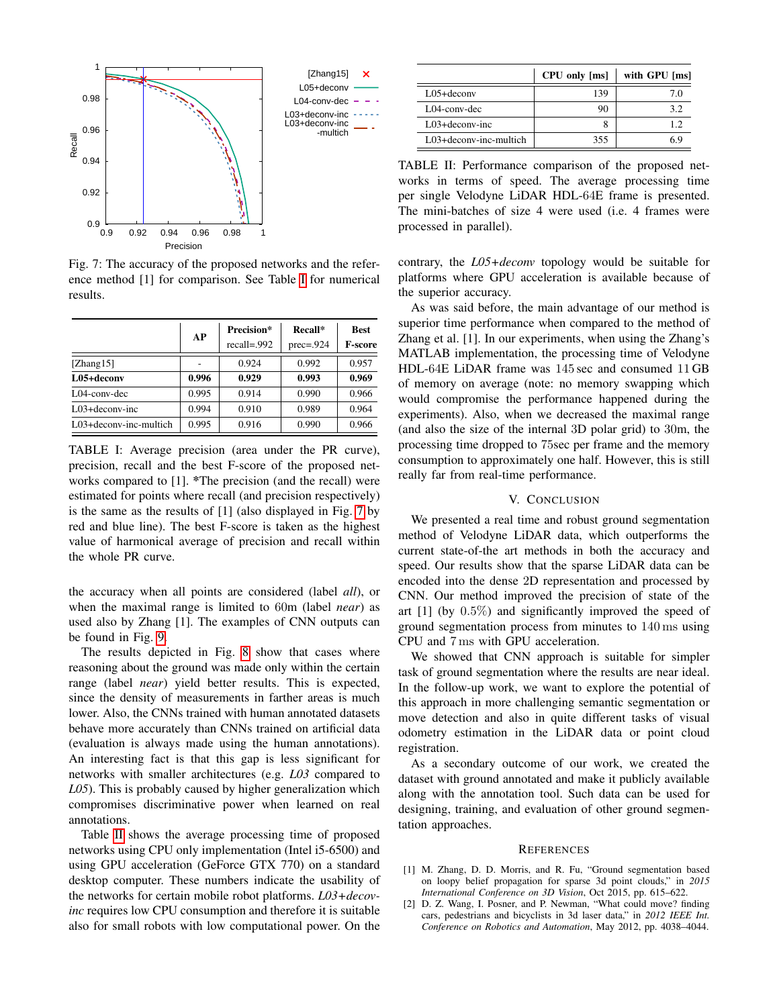<span id="page-5-0"></span>

Fig. 7: The accuracy of the proposed networks and the reference method [1] for comparison. See Table [I](#page-5-1) for numerical results.

<span id="page-5-1"></span>

|                           | AP    | Precision*<br>$recall = .992$ | <b>Recall*</b><br>$prec=924$ | <b>Best</b><br><b>F-score</b> |
|---------------------------|-------|-------------------------------|------------------------------|-------------------------------|
| [Zhang15]                 |       | 0.924                         | 0.992                        | 0.957                         |
| L05+deconv                | 0.996 | 0.929                         | 0.993                        | 0.969                         |
| L04-conv-dec              | 0.995 | 0.914                         | 0.990                        | 0.966                         |
| $L$ 03+deconv-inc         | 0.994 | 0.910                         | 0.989                        | 0.964                         |
| $L$ 03+deconv-inc-multich | 0.995 | 0.916                         | 0.990                        | 0.966                         |

TABLE I: Average precision (area under the PR curve), precision, recall and the best F-score of the proposed networks compared to [1]. \*The precision (and the recall) were estimated for points where recall (and precision respectively) is the same as the results of [1] (also displayed in Fig. [7](#page-5-0) by red and blue line). The best F-score is taken as the highest value of harmonical average of precision and recall within the whole PR curve.

the accuracy when all points are considered (label *all*), or when the maximal range is limited to 60m (label *near*) as used also by Zhang [1]. The examples of CNN outputs can be found in Fig. [9.](#page-6-1)

The results depicted in Fig. [8](#page-6-0) show that cases where reasoning about the ground was made only within the certain range (label *near*) yield better results. This is expected, since the density of measurements in farther areas is much lower. Also, the CNNs trained with human annotated datasets behave more accurately than CNNs trained on artificial data (evaluation is always made using the human annotations). An interesting fact is that this gap is less significant for networks with smaller architectures (e.g. *L03* compared to *L05*). This is probably caused by higher generalization which compromises discriminative power when learned on real annotations.

Table [II](#page-5-2) shows the average processing time of proposed networks using CPU only implementation (Intel i5-6500) and using GPU acceleration (GeForce GTX 770) on a standard desktop computer. These numbers indicate the usability of the networks for certain mobile robot platforms. *L03+decovinc* requires low CPU consumption and therefore it is suitable also for small robots with low computational power. On the

<span id="page-5-2"></span>

|                           | $CPU$ only $[ms]$ | with GPU [ms] |
|---------------------------|-------------------|---------------|
| $L$ 05+deconv             | 139               | 70            |
| L04-conv-dec              | 90                | 3.2           |
| $L$ 03+deconv-inc         |                   | 12            |
| $L$ 03+deconv-inc-multich | 355               | 6 G           |

TABLE II: Performance comparison of the proposed networks in terms of speed. The average processing time per single Velodyne LiDAR HDL-64E frame is presented. The mini-batches of size 4 were used (i.e. 4 frames were processed in parallel).

contrary, the *L05+deconv* topology would be suitable for platforms where GPU acceleration is available because of the superior accuracy.

As was said before, the main advantage of our method is superior time performance when compared to the method of Zhang et al. [1]. In our experiments, when using the Zhang's MATLAB implementation, the processing time of Velodyne HDL-64E LiDAR frame was 145 sec and consumed 11 GB of memory on average (note: no memory swapping which would compromise the performance happened during the experiments). Also, when we decreased the maximal range (and also the size of the internal 3D polar grid) to 30m, the processing time dropped to 75sec per frame and the memory consumption to approximately one half. However, this is still really far from real-time performance.

# V. CONCLUSION

We presented a real time and robust ground segmentation method of Velodyne LiDAR data, which outperforms the current state-of-the art methods in both the accuracy and speed. Our results show that the sparse LiDAR data can be encoded into the dense 2D representation and processed by CNN. Our method improved the precision of state of the art  $[1]$  (by  $0.5\%$ ) and significantly improved the speed of ground segmentation process from minutes to 140 ms using CPU and 7 ms with GPU acceleration.

We showed that CNN approach is suitable for simpler task of ground segmentation where the results are near ideal. In the follow-up work, we want to explore the potential of this approach in more challenging semantic segmentation or move detection and also in quite different tasks of visual odometry estimation in the LiDAR data or point cloud registration.

As a secondary outcome of our work, we created the dataset with ground annotated and make it publicly available along with the annotation tool. Such data can be used for designing, training, and evaluation of other ground segmentation approaches.

#### **REFERENCES**

- [1] M. Zhang, D. D. Morris, and R. Fu, "Ground segmentation based on loopy belief propagation for sparse 3d point clouds," in *2015 International Conference on 3D Vision*, Oct 2015, pp. 615–622.
- [2] D. Z. Wang, I. Posner, and P. Newman, "What could move? finding cars, pedestrians and bicyclists in 3d laser data," in *2012 IEEE Int. Conference on Robotics and Automation*, May 2012, pp. 4038–4044.